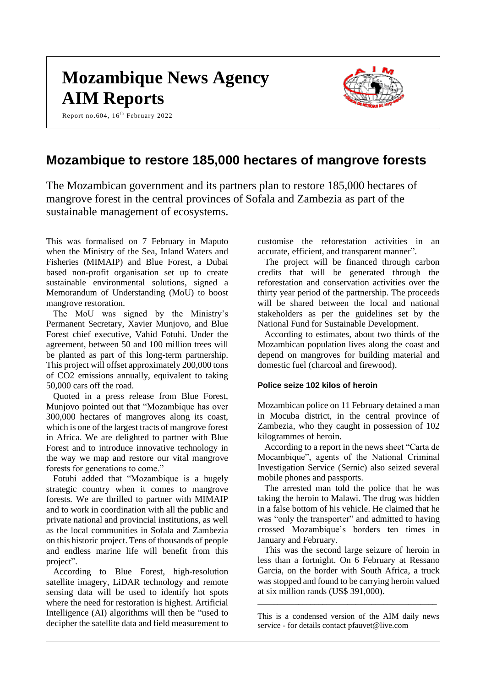# **Mozambique News Agency AIM Reports**

Report no.604, 16<sup>th</sup> February 2022



# **Mozambique to restore 185,000 hectares of mangrove forests**

The Mozambican government and its partners plan to restore 185,000 hectares of mangrove forest in the central provinces of Sofala and Zambezia as part of the sustainable management of ecosystems.

This was formalised on 7 February in Maputo when the Ministry of the Sea, Inland Waters and Fisheries (MIMAIP) and Blue Forest, a Dubai based non-profit organisation set up to create sustainable environmental solutions, signed a Memorandum of Understanding (MoU) to boost mangrove restoration.

The MoU was signed by the Ministry's Permanent Secretary, Xavier Munjovo, and Blue Forest chief executive, Vahid Fotuhi. Under the agreement, between 50 and 100 million trees will be planted as part of this long-term partnership. This project will offset approximately 200,000 tons of CO2 emissions annually, equivalent to taking 50,000 cars off the road.

Quoted in a press release from Blue Forest, Munjovo pointed out that "Mozambique has over 300,000 hectares of mangroves along its coast, which is one of the largest tracts of mangrove forest in Africa. We are delighted to partner with Blue Forest and to introduce innovative technology in the way we map and restore our vital mangrove forests for generations to come."

Fotuhi added that "Mozambique is a hugely strategic country when it comes to mangrove forests. We are thrilled to partner with MIMAIP and to work in coordination with all the public and private national and provincial institutions, as well as the local communities in Sofala and Zambezia on this historic project. Tens of thousands of people and endless marine life will benefit from this project".

According to Blue Forest, high-resolution satellite imagery, LiDAR technology and remote sensing data will be used to identify hot spots where the need for restoration is highest. Artificial Intelligence (AI) algorithms will then be "used to decipher the satellite data and field measurement to customise the reforestation activities in an accurate, efficient, and transparent manner".

The project will be financed through carbon credits that will be generated through the reforestation and conservation activities over the thirty year period of the partnership. The proceeds will be shared between the local and national stakeholders as per the guidelines set by the National Fund for Sustainable Development.

According to estimates, about two thirds of the Mozambican population lives along the coast and depend on mangroves for building material and domestic fuel (charcoal and firewood).

#### **Police seize 102 kilos of heroin**

Mozambican police on 11 February detained a man in Mocuba district, in the central province of Zambezia, who they caught in possession of 102 kilogrammes of heroin.

According to a report in the news sheet "Carta de Mocambique", agents of the National Criminal Investigation Service (Sernic) also seized several mobile phones and passports.

The arrested man told the police that he was taking the heroin to Malawi. The drug was hidden in a false bottom of his vehicle. He claimed that he was "only the transporter" and admitted to having crossed Mozambique's borders ten times in January and February.

This was the second large seizure of heroin in less than a fortnight. On 6 February at Ressano Garcia, on the border with South Africa, a truck was stopped and found to be carrying heroin valued at six million rands (US\$ 391,000).

This is a condensed version of the AIM daily news service - for details contact pfauvet@live.com

\_\_\_\_\_\_\_\_\_\_\_\_\_\_\_\_\_\_\_\_\_\_\_\_\_\_\_\_\_\_\_\_\_\_\_\_\_\_\_\_\_\_\_\_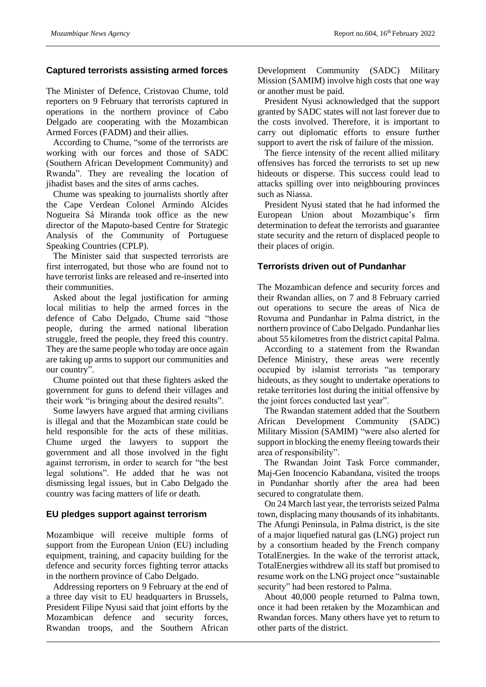# **Captured terrorists assisting armed forces**

The Minister of Defence, Cristovao Chume, told reporters on 9 February that terrorists captured in operations in the northern province of Cabo Delgado are cooperating with the Mozambican Armed Forces (FADM) and their allies.

According to Chume, "some of the terrorists are working with our forces and those of SADC (Southern African Development Community) and Rwanda". They are revealing the location of jihadist bases and the sites of arms caches.

Chume was speaking to journalists shortly after the Cape Verdean Colonel Armindo Alcides Nogueira Sá Miranda took office as the new director of the Maputo-based Centre for Strategic Analysis of the Community of Portuguese Speaking Countries (CPLP).

The Minister said that suspected terrorists are first interrogated, but those who are found not to have terrorist links are released and re-inserted into their communities.

Asked about the legal justification for arming local militias to help the armed forces in the defence of Cabo Delgado, Chume said "those people, during the armed national liberation struggle, freed the people, they freed this country. They are the same people who today are once again are taking up arms to support our communities and our country".

Chume pointed out that these fighters asked the government for guns to defend their villages and their work "is bringing about the desired results".

Some lawyers have argued that arming civilians is illegal and that the Mozambican state could be held responsible for the acts of these militias. Chume urged the lawyers to support the government and all those involved in the fight against terrorism, in order to search for "the best legal solutions". He added that he was not dismissing legal issues, but in Cabo Delgado the country was facing matters of life or death.

# **EU pledges support against terrorism**

Mozambique will receive multiple forms of support from the European Union (EU) including equipment, training, and capacity building for the defence and security forces fighting terror attacks in the northern province of Cabo Delgado.

Addressing reporters on 9 February at the end of a three day visit to EU headquarters in Brussels, President Filipe Nyusi said that joint efforts by the Mozambican defence and security forces, Rwandan troops, and the Southern African

Development Community (SADC) Military Mission (SAMIM) involve high costs that one way or another must be paid.

President Nyusi acknowledged that the support granted by SADC states will not last forever due to the costs involved. Therefore, it is important to carry out diplomatic efforts to ensure further support to avert the risk of failure of the mission.

The fierce intensity of the recent allied military offensives has forced the terrorists to set up new hideouts or disperse. This success could lead to attacks spilling over into neighbouring provinces such as Niassa.

President Nyusi stated that he had informed the European Union about Mozambique's firm determination to defeat the terrorists and guarantee state security and the return of displaced people to their places of origin.

#### **Terrorists driven out of Pundanhar**

The Mozambican defence and security forces and their Rwandan allies, on 7 and 8 February carried out operations to secure the areas of Nica de Rovuma and Pundanhar in Palma district, in the northern province of Cabo Delgado. Pundanhar lies about 55 kilometres from the district capital Palma.

According to a statement from the Rwandan Defence Ministry, these areas were recently occupied by islamist terrorists "as temporary hideouts, as they sought to undertake operations to retake territories lost during the initial offensive by the joint forces conducted last year".

The Rwandan statement added that the Southern African Development Community (SADC) Military Mission (SAMIM) "were also alerted for support in blocking the enemy fleeing towards their area of responsibility".

The Rwandan Joint Task Force commander, Maj-Gen Inocencio Kabandana, visited the troops in Pundanhar shortly after the area had been secured to congratulate them.

On 24 March last year, the terrorists seized Palma town, displacing many thousands of its inhabitants. The Afungi Peninsula, in Palma district, is the site of a major liquefied natural gas (LNG) project run by a consortium headed by the French company TotalEnergies. In the wake of the terrorist attack, TotalEnergies withdrew all its staff but promised to resume work on the LNG project once "sustainable security" had been restored to Palma.

About 40,000 people returned to Palma town, once it had been retaken by the Mozambican and Rwandan forces. Many others have yet to return to other parts of the district.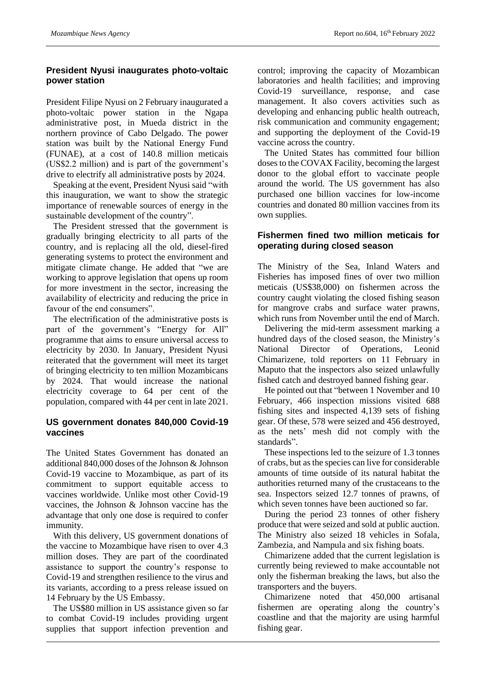# **President Nyusi inaugurates photo-voltaic power station**

President Filipe Nyusi on 2 February inaugurated a photo-voltaic power station in the Ngapa administrative post, in Mueda district in the northern province of Cabo Delgado. The power station was built by the National Energy Fund (FUNAE), at a cost of 140.8 million meticais (US\$2.2 million) and is part of the government's drive to electrify all administrative posts by 2024.

Speaking at the event, President Nyusi said "with this inauguration, we want to show the strategic importance of renewable sources of energy in the sustainable development of the country".

The President stressed that the government is gradually bringing electricity to all parts of the country, and is replacing all the old, diesel-fired generating systems to protect the environment and mitigate climate change. He added that "we are working to approve legislation that opens up room for more investment in the sector, increasing the availability of electricity and reducing the price in favour of the end consumers".

The electrification of the administrative posts is part of the government's "Energy for All" programme that aims to ensure universal access to electricity by 2030. In January, President Nyusi reiterated that the government will meet its target of bringing electricity to ten million Mozambicans by 2024. That would increase the national electricity coverage to 64 per cent of the population, compared with 44 per cent in late 2021.

#### **US government donates 840,000 Covid-19 vaccines**

The United States Government has donated an additional 840,000 doses of the Johnson & Johnson Covid-19 vaccine to Mozambique, as part of its commitment to support equitable access to vaccines worldwide. Unlike most other Covid-19 vaccines, the Johnson & Johnson vaccine has the advantage that only one dose is required to confer immunity.

With this delivery, US government donations of the vaccine to Mozambique have risen to over 4.3 million doses. They are part of the coordinated assistance to support the country's response to Covid-19 and strengthen resilience to the virus and its variants, according to a press release issued on 14 February by the US Embassy.

The US\$80 million in US assistance given so far to combat Covid-19 includes providing urgent supplies that support infection prevention and control; improving the capacity of Mozambican laboratories and health facilities; and improving Covid-19 surveillance, response, and case management. It also covers activities such as developing and enhancing public health outreach, risk communication and community engagement; and supporting the deployment of the Covid-19 vaccine across the country.

The United States has committed four billion doses to the COVAX Facility, becoming the largest donor to the global effort to vaccinate people around the world. The US government has also purchased one billion vaccines for low-income countries and donated 80 million vaccines from its own supplies.

# **Fishermen fined two million meticais for operating during closed season**

The Ministry of the Sea, Inland Waters and Fisheries has imposed fines of over two million meticais (US\$38,000) on fishermen across the country caught violating the closed fishing season for mangrove crabs and surface water prawns, which runs from November until the end of March.

Delivering the mid-term assessment marking a hundred days of the closed season, the Ministry's National Director of Operations, Leonid Chimarizene, told reporters on 11 February in Maputo that the inspectors also seized unlawfully fished catch and destroyed banned fishing gear.

He pointed out that "between 1 November and 10 February, 466 inspection missions visited 688 fishing sites and inspected 4,139 sets of fishing gear. Of these, 578 were seized and 456 destroyed, as the nets' mesh did not comply with the standards".

These inspections led to the seizure of 1.3 tonnes of crabs, but as the species can live for considerable amounts of time outside of its natural habitat the authorities returned many of the crustaceans to the sea. Inspectors seized 12.7 tonnes of prawns, of which seven tonnes have been auctioned so far.

During the period 23 tonnes of other fishery produce that were seized and sold at public auction. The Ministry also seized 18 vehicles in Sofala, Zambezia, and Nampula and six fishing boats.

Chimarizene added that the current legislation is currently being reviewed to make accountable not only the fisherman breaking the laws, but also the transporters and the buyers.

Chimarizene noted that 450,000 artisanal fishermen are operating along the country's coastline and that the majority are using harmful fishing gear.